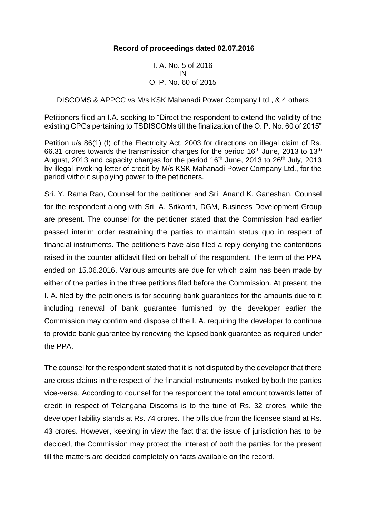## **Record of proceedings dated 02.07.2016**

I. A. No. 5 of 2016 IN O. P. No. 60 of 2015

## DISCOMS & APPCC vs M/s KSK Mahanadi Power Company Ltd., & 4 others

Petitioners filed an I.A. seeking to "Direct the respondent to extend the validity of the existing CPGs pertaining to TSDISCOMs till the finalization of the O. P. No. 60 of 2015"

Petition u/s 86(1) (f) of the Electricity Act, 2003 for directions on illegal claim of Rs. 66.31 crores towards the transmission charges for the period 16<sup>th</sup> June, 2013 to 13<sup>th</sup> August, 2013 and capacity charges for the period  $16<sup>th</sup>$  June, 2013 to 26<sup>th</sup> July, 2013 by illegal invoking letter of credit by M/s KSK Mahanadi Power Company Ltd., for the period without supplying power to the petitioners.

Sri. Y. Rama Rao, Counsel for the petitioner and Sri. Anand K. Ganeshan, Counsel for the respondent along with Sri. A. Srikanth, DGM, Business Development Group are present. The counsel for the petitioner stated that the Commission had earlier passed interim order restraining the parties to maintain status quo in respect of financial instruments. The petitioners have also filed a reply denying the contentions raised in the counter affidavit filed on behalf of the respondent. The term of the PPA ended on 15.06.2016. Various amounts are due for which claim has been made by either of the parties in the three petitions filed before the Commission. At present, the I. A. filed by the petitioners is for securing bank guarantees for the amounts due to it including renewal of bank guarantee furnished by the developer earlier the Commission may confirm and dispose of the I. A. requiring the developer to continue to provide bank guarantee by renewing the lapsed bank guarantee as required under the PPA.

The counsel for the respondent stated that it is not disputed by the developer that there are cross claims in the respect of the financial instruments invoked by both the parties vice-versa. According to counsel for the respondent the total amount towards letter of credit in respect of Telangana Discoms is to the tune of Rs. 32 crores, while the developer liability stands at Rs. 74 crores. The bills due from the licensee stand at Rs. 43 crores. However, keeping in view the fact that the issue of jurisdiction has to be decided, the Commission may protect the interest of both the parties for the present till the matters are decided completely on facts available on the record.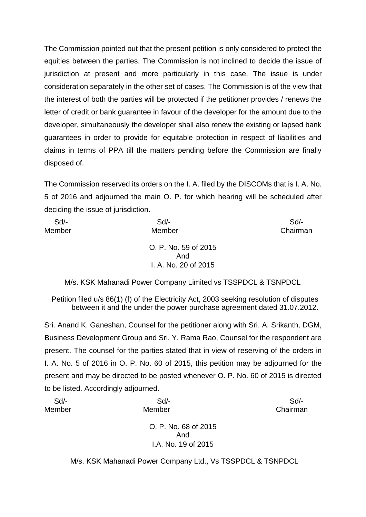The Commission pointed out that the present petition is only considered to protect the equities between the parties. The Commission is not inclined to decide the issue of jurisdiction at present and more particularly in this case. The issue is under consideration separately in the other set of cases. The Commission is of the view that the interest of both the parties will be protected if the petitioner provides / renews the letter of credit or bank guarantee in favour of the developer for the amount due to the developer, simultaneously the developer shall also renew the existing or lapsed bank guarantees in order to provide for equitable protection in respect of liabilities and claims in terms of PPA till the matters pending before the Commission are finally disposed of.

The Commission reserved its orders on the I. A. filed by the DISCOMs that is I. A. No. 5 of 2016 and adjourned the main O. P. for which hearing will be scheduled after deciding the issue of jurisdiction.

| $Sd$ - | $Sd$ -                                              | Sd       |
|--------|-----------------------------------------------------|----------|
| Member | Member                                              | Chairman |
|        | O. P. No. 59 of 2015<br>And<br>I. A. No. 20 of 2015 |          |

M/s. KSK Mahanadi Power Company Limited vs TSSPDCL & TSNPDCL

Petition filed u/s 86(1) (f) of the Electricity Act, 2003 seeking resolution of disputes between it and the under the power purchase agreement dated 31.07.2012.

Sri. Anand K. Ganeshan, Counsel for the petitioner along with Sri. A. Srikanth, DGM, Business Development Group and Sri. Y. Rama Rao, Counsel for the respondent are present. The counsel for the parties stated that in view of reserving of the orders in I. A. No. 5 of 2016 in O. P. No. 60 of 2015, this petition may be adjourned for the present and may be directed to be posted whenever O. P. No. 60 of 2015 is directed to be listed. Accordingly adjourned.

| $Sd$ - | Sd                                                         | Sd       |
|--------|------------------------------------------------------------|----------|
| Member | Member                                                     | Chairman |
|        | O. P. No. 68 of 2015<br>And                                |          |
|        | I.A. No. 19 of 2015                                        |          |
|        |                                                            |          |
|        | M/s. KSK Mahanadi Power Company Ltd., Vs TSSPDCL & TSNPDCL |          |